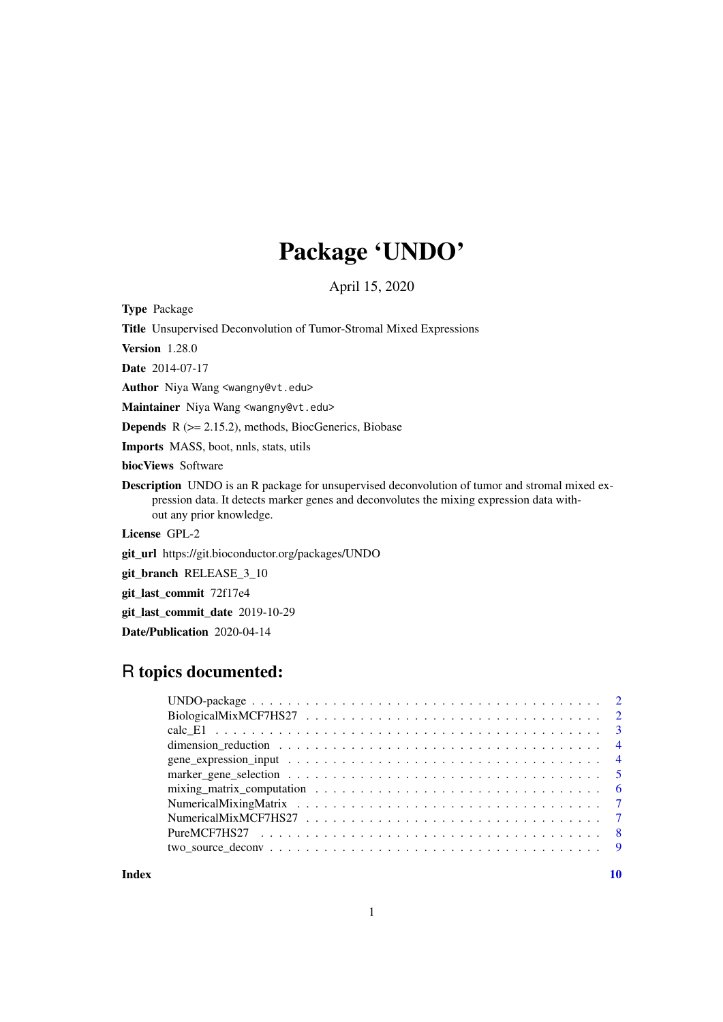## Package 'UNDO'

April 15, 2020

Type Package

Title Unsupervised Deconvolution of Tumor-Stromal Mixed Expressions

Version 1.28.0

Date 2014-07-17

Author Niya Wang <wangny@vt.edu>

Maintainer Niya Wang <wangny@vt.edu>

Depends R (>= 2.15.2), methods, BiocGenerics, Biobase

Imports MASS, boot, nnls, stats, utils

biocViews Software

Description UNDO is an R package for unsupervised deconvolution of tumor and stromal mixed expression data. It detects marker genes and deconvolutes the mixing expression data without any prior knowledge.

License GPL-2

git\_url https://git.bioconductor.org/packages/UNDO

git\_branch RELEASE\_3\_10

git\_last\_commit 72f17e4

git\_last\_commit\_date 2019-10-29

Date/Publication 2020-04-14

### R topics documented:

| mixing matrix computation $\ldots \ldots \ldots \ldots \ldots \ldots \ldots \ldots \ldots \ldots \ldots \ldots \ldots$ |  |  |  |  |  |  |
|------------------------------------------------------------------------------------------------------------------------|--|--|--|--|--|--|
|                                                                                                                        |  |  |  |  |  |  |
|                                                                                                                        |  |  |  |  |  |  |
|                                                                                                                        |  |  |  |  |  |  |
|                                                                                                                        |  |  |  |  |  |  |
|                                                                                                                        |  |  |  |  |  |  |
|                                                                                                                        |  |  |  |  |  |  |
|                                                                                                                        |  |  |  |  |  |  |
|                                                                                                                        |  |  |  |  |  |  |
|                                                                                                                        |  |  |  |  |  |  |
|                                                                                                                        |  |  |  |  |  |  |

#### $\blacksquare$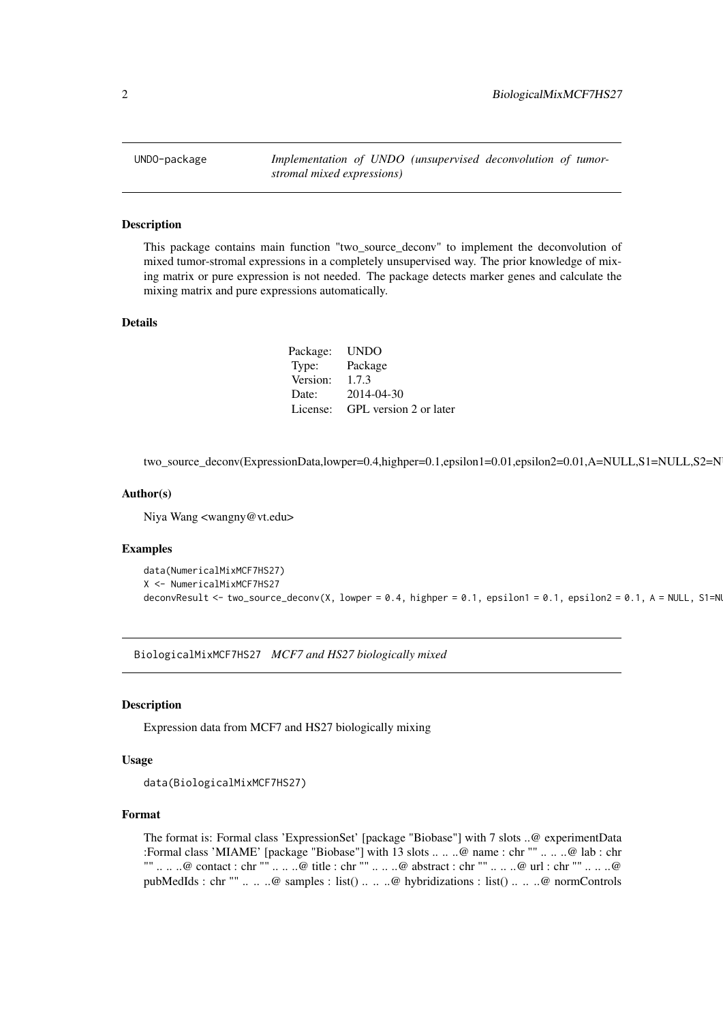<span id="page-1-0"></span>

#### **Description**

This package contains main function "two\_source\_deconv" to implement the deconvolution of mixed tumor-stromal expressions in a completely unsupervised way. The prior knowledge of mixing matrix or pure expression is not needed. The package detects marker genes and calculate the mixing matrix and pure expressions automatically.

#### Details

Package: UNDO Type: Package Version: 1.7.3 Date: 2014-04-30 License: GPL version 2 or later

two\_source\_deconv(ExpressionData,lowper=0.4,highper=0.1,epsilon1=0.01,epsilon2=0.01,A=NULL,S1=NULL,S2=N

#### Author(s)

Niya Wang <wangny@vt.edu>

#### Examples

```
data(NumericalMixMCF7HS27)
X <- NumericalMixMCF7HS27
deconvResult <- two_source_deconv(X, lowper = 0.4, highper = 0.1, epsilon1 = 0.1, epsilon2 = 0.1, A = NULL, S1=N
```
BiologicalMixMCF7HS27 *MCF7 and HS27 biologically mixed*

#### Description

Expression data from MCF7 and HS27 biologically mixing

#### Usage

```
data(BiologicalMixMCF7HS27)
```
#### Format

The format is: Formal class 'ExpressionSet' [package "Biobase"] with 7 slots ..@ experimentData :Formal class 'MIAME' [package "Biobase"] with 13 slots .. .. ..@ name : chr "" .. .. ..@ lab : chr "" .. .. ..@ contact : chr "" .. .. ..@ title : chr "" .. .. ..@ abstract : chr "" .. .. ..@ url : chr "" .. .. ..@ pubMedIds : chr "" .. .. ..@ samples : list() .. .. ..@ hybridizations : list() .. .. ..@ normControls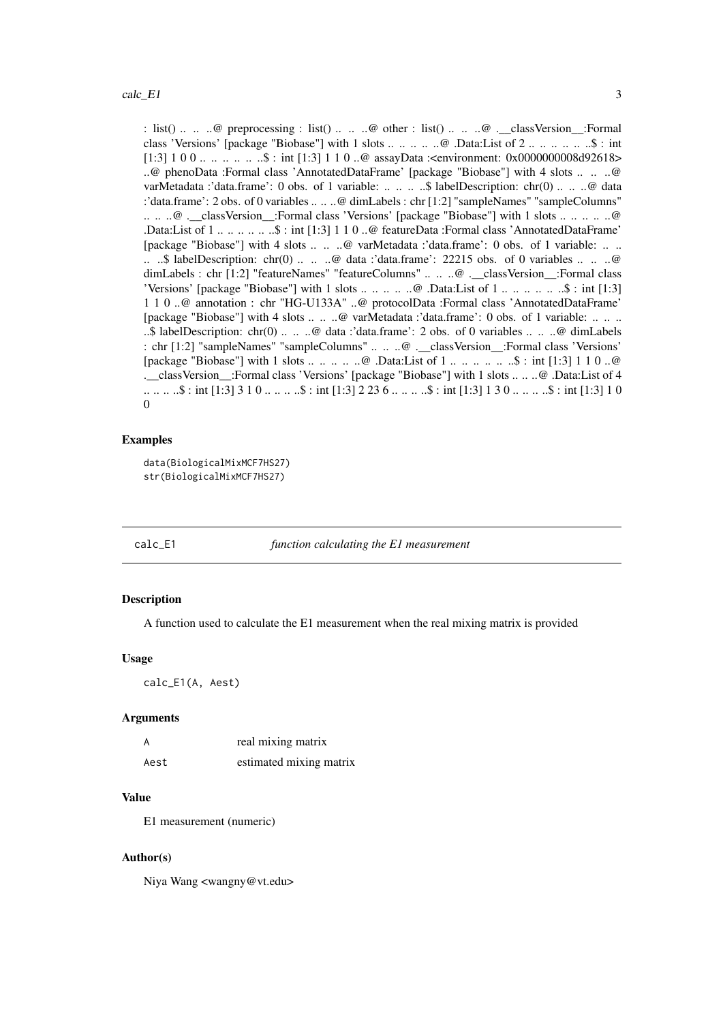<span id="page-2-0"></span>: list() .. .. ..@ preprocessing : list() .. .. ..@ other : list() .. .. ..@ .\_\_classVersion\_:Formal class 'Versions' [package "Biobase"] with 1 slots .. .. .. .. ..@ .Data:List of 2 .. .. .. .. .. ..\$ : int [1:3] 1 0 0 .. .. .. .. .. \$ : int [1:3] 1 1 0 ..@ assayData :<environment: 0x0000000008d92618> ..@ phenoData :Formal class 'AnnotatedDataFrame' [package "Biobase"] with 4 slots .. .. ..@ varMetadata :'data.frame': 0 obs. of 1 variable: .. .. .. ..\$ labelDescription: chr(0) .. .. ..@ data :'data.frame': 2 obs. of 0 variables .. .. ..@ dimLabels : chr [1:2] "sampleNames" "sampleColumns" .. .. ..@ .\_\_classVersion\_\_:Formal class 'Versions' [package "Biobase"] with 1 slots .. .. .. .. ..@ .Data:List of 1 .. .. .. .. .. ..\$ : int [1:3] 1 1 0 ..@ featureData :Formal class 'AnnotatedDataFrame' [package "Biobase"] with 4 slots .. .. ..@ varMetadata :'data.frame': 0 obs. of 1 variable: .. .. .. ..\$ labelDescription: chr(0) .. .. ..@ data :'data.frame': 22215 obs. of 0 variables .. .. ..@ dimLabels : chr [1:2] "featureNames" "featureColumns" .. .. ..@ .\_\_classVersion\_:Formal class 'Versions' [package "Biobase"] with 1 slots  $\dots \dots \dots \dots \dots$  ...  $\emptyset$  .Data:List of  $1 \dots \dots \dots \dots \dots \dots \dots$  : int [1:3] 1 1 0 ..@ annotation : chr "HG-U133A" ..@ protocolData :Formal class 'AnnotatedDataFrame' [package "Biobase"] with 4 slots .. .. ..@ varMetadata :'data.frame': 0 obs. of 1 variable: .. .. .. ..\$ labelDescription: chr(0) .. .. ..@ data :'data.frame': 2 obs. of 0 variables .. .. ..@ dimLabels : chr [1:2] "sampleNames" "sampleColumns" .. .. ..@ .\_\_classVersion\_\_:Formal class 'Versions' [package "Biobase"] with 1 slots .. .. .. .. ..@ .Data:List of 1 .. .. .. .. .. ..\$ : int [1:3] 1 1 0 ..@ .\_\_classVersion\_\_:Formal class 'Versions' [package "Biobase"] with 1 slots .. .. ..@ .Data:List of 4 .. .. .. ..\$ : int [1:3] 3 1 0 .. .. .. ..\$ : int [1:3] 2 23 6 .. .. .. ..\$ : int [1:3] 1 3 0 .. .. .. ..\$ : int [1:3] 1 0 0

#### Examples

```
data(BiologicalMixMCF7HS27)
str(BiologicalMixMCF7HS27)
```
#### calc\_E1 *function calculating the E1 measurement*

#### Description

A function used to calculate the E1 measurement when the real mixing matrix is provided

#### Usage

calc\_E1(A, Aest)

#### Arguments

|      | real mixing matrix      |
|------|-------------------------|
| Aest | estimated mixing matrix |

#### Value

E1 measurement (numeric)

#### Author(s)

Niya Wang <wangny@vt.edu>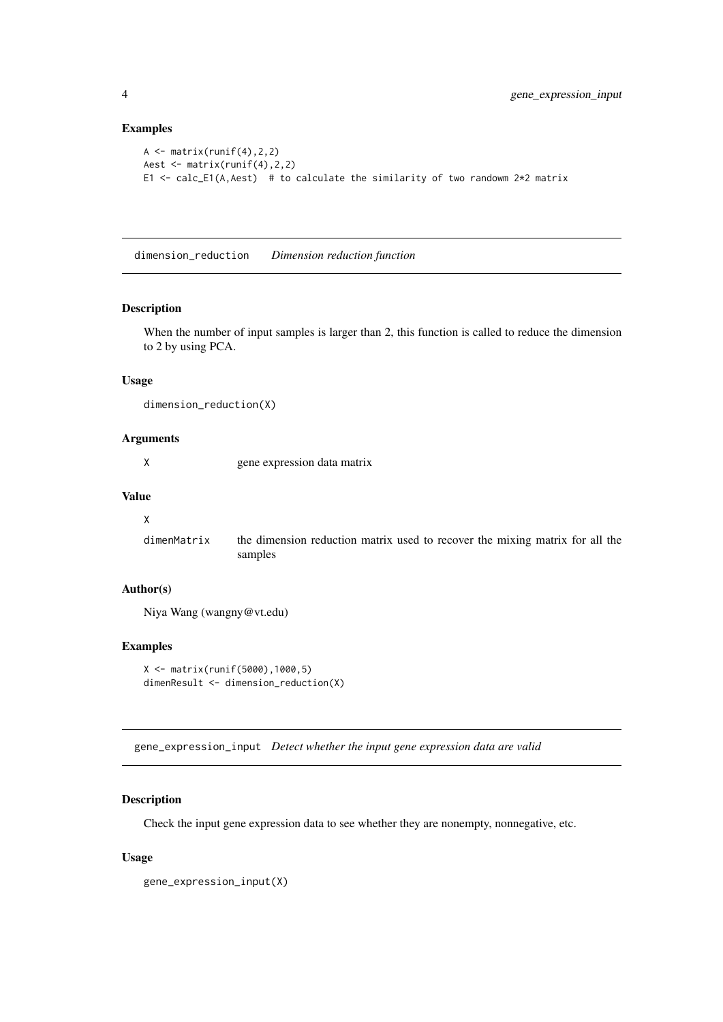#### Examples

```
A \leftarrow matrix(runif(4), 2, 2)
Aest <- matrix(runif(4),2,2)
E1 <- calc_E1(A,Aest) # to calculate the similarity of two randowm 2*2 matrix
```
dimension\_reduction *Dimension reduction function*

#### Description

When the number of input samples is larger than 2, this function is called to reduce the dimension to 2 by using PCA.

#### Usage

```
dimension_reduction(X)
```
#### Arguments

X gene expression data matrix

#### Value

#### X

```
dimenMatrix the dimension reduction matrix used to recover the mixing matrix for all the
                 samples
```
#### Author(s)

Niya Wang (wangny@vt.edu)

#### Examples

```
X <- matrix(runif(5000),1000,5)
dimenResult <- dimension_reduction(X)
```
gene\_expression\_input *Detect whether the input gene expression data are valid*

#### Description

Check the input gene expression data to see whether they are nonempty, nonnegative, etc.

#### Usage

```
gene_expression_input(X)
```
<span id="page-3-0"></span>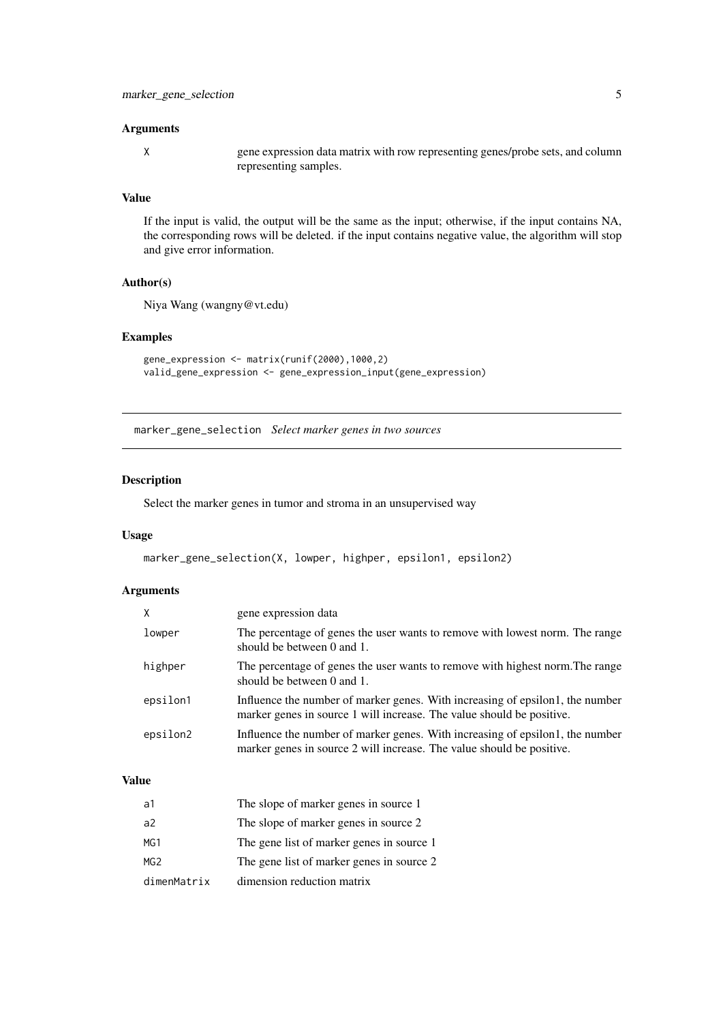#### <span id="page-4-0"></span>Arguments

X gene expression data matrix with row representing genes/probe sets, and column representing samples.

#### Value

If the input is valid, the output will be the same as the input; otherwise, if the input contains NA, the corresponding rows will be deleted. if the input contains negative value, the algorithm will stop and give error information.

#### Author(s)

Niya Wang (wangny@vt.edu)

#### Examples

```
gene_expression <- matrix(runif(2000),1000,2)
valid_gene_expression <- gene_expression_input(gene_expression)
```
marker\_gene\_selection *Select marker genes in two sources*

#### Description

Select the marker genes in tumor and stroma in an unsupervised way

#### Usage

marker\_gene\_selection(X, lowper, highper, epsilon1, epsilon2)

#### Arguments

| X        | gene expression data                                                                                                                                   |
|----------|--------------------------------------------------------------------------------------------------------------------------------------------------------|
| lowper   | The percentage of genes the user wants to remove with lowest norm. The range<br>should be between $0$ and $1$ .                                        |
| highper  | The percentage of genes the user wants to remove with highest norm. The range<br>should be between 0 and 1.                                            |
| epsilon1 | Influence the number of marker genes. With increasing of epsilon1, the number<br>marker genes in source 1 will increase. The value should be positive. |
| epsilon2 | Influence the number of marker genes. With increasing of epsilon1, the number<br>marker genes in source 2 will increase. The value should be positive. |

#### Value

| a1             | The slope of marker genes in source 1     |
|----------------|-------------------------------------------|
| a <sup>2</sup> | The slope of marker genes in source 2     |
| MG1            | The gene list of marker genes in source 1 |
| MG2            | The gene list of marker genes in source 2 |
| dimenMatrix    | dimension reduction matrix                |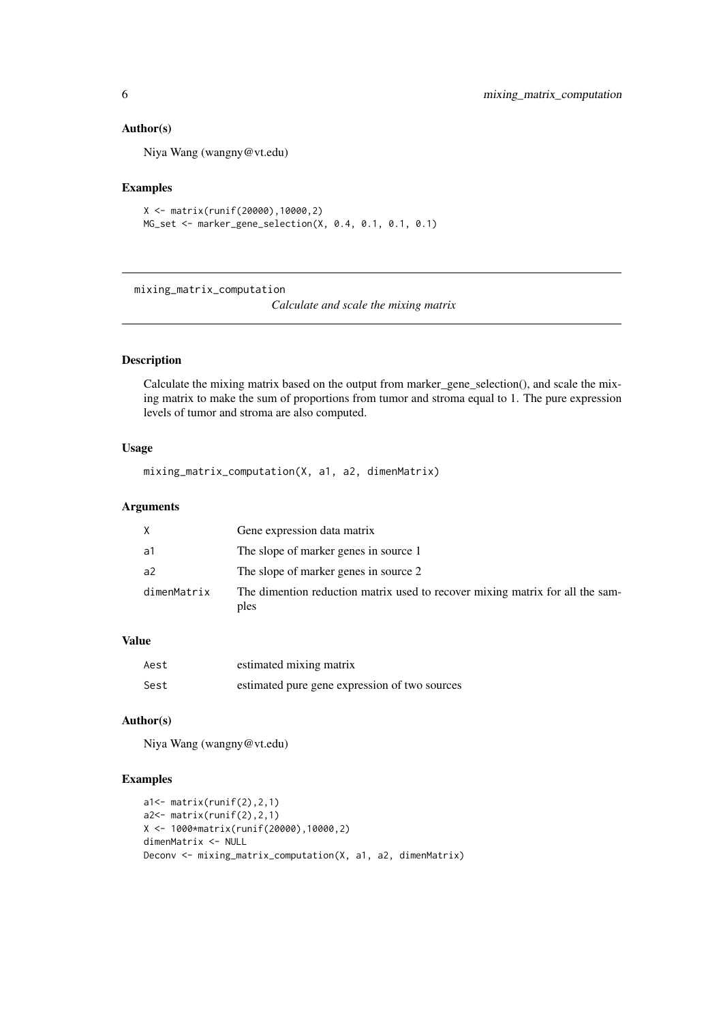#### Author(s)

Niya Wang (wangny@vt.edu)

#### Examples

```
X <- matrix(runif(20000),10000,2)
MG_set <- marker_gene_selection(X, 0.4, 0.1, 0.1, 0.1)
```
mixing\_matrix\_computation

*Calculate and scale the mixing matrix*

#### Description

Calculate the mixing matrix based on the output from marker\_gene\_selection(), and scale the mixing matrix to make the sum of proportions from tumor and stroma equal to 1. The pure expression levels of tumor and stroma are also computed.

#### Usage

mixing\_matrix\_computation(X, a1, a2, dimenMatrix)

#### Arguments

| X           | Gene expression data matrix                                                           |
|-------------|---------------------------------------------------------------------------------------|
| a1          | The slope of marker genes in source 1                                                 |
| a2          | The slope of marker genes in source 2                                                 |
| dimenMatrix | The dimention reduction matrix used to recover mixing matrix for all the sam-<br>ples |

#### Value

| Aest | estimated mixing matrix                       |
|------|-----------------------------------------------|
| Sest | estimated pure gene expression of two sources |

#### Author(s)

Niya Wang (wangny@vt.edu)

#### Examples

```
a1<- matrix(runif(2),2,1)
a2<- matrix(runif(2),2,1)
X <- 1000*matrix(runif(20000),10000,2)
dimenMatrix <- NULL
Deconv <- mixing_matrix_computation(X, a1, a2, dimenMatrix)
```
<span id="page-5-0"></span>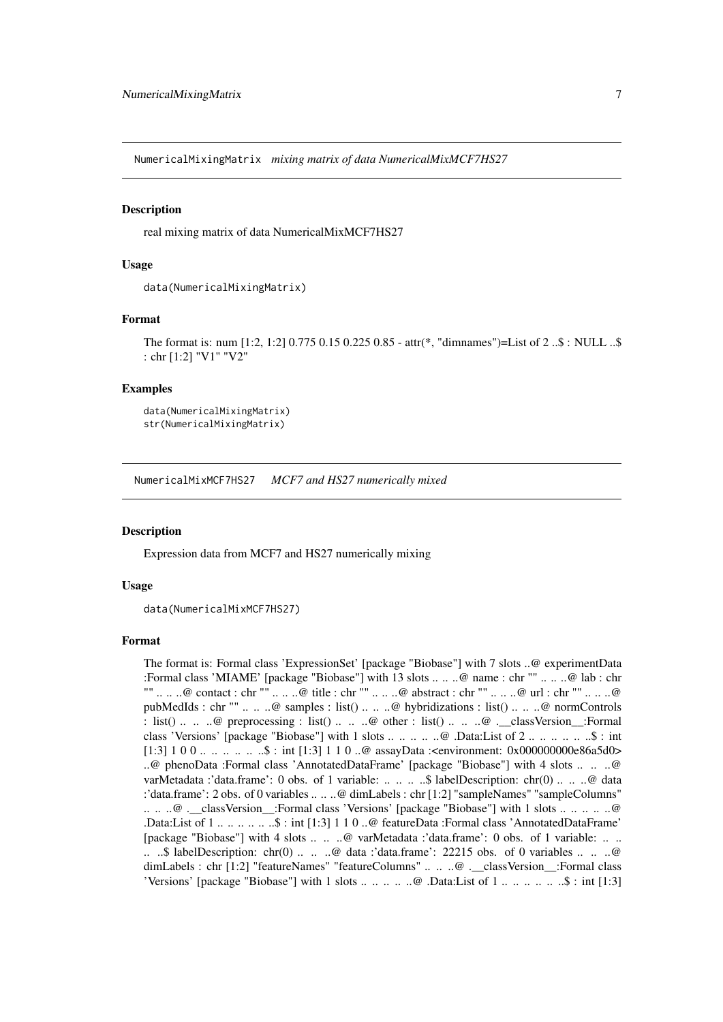<span id="page-6-0"></span>NumericalMixingMatrix *mixing matrix of data NumericalMixMCF7HS27*

#### Description

real mixing matrix of data NumericalMixMCF7HS27

#### Usage

```
data(NumericalMixingMatrix)
```
#### Format

```
The format is: num [1:2, 1:2] 0.775 0.15 0.225 0.85 - attr(*, "dimnames")=List of 2 ..$ : NULL ..$
: chr [1:2] "V1" "V2"
```
#### Examples

```
data(NumericalMixingMatrix)
str(NumericalMixingMatrix)
```
NumericalMixMCF7HS27 *MCF7 and HS27 numerically mixed*

#### Description

Expression data from MCF7 and HS27 numerically mixing

#### Usage

```
data(NumericalMixMCF7HS27)
```
#### Format

The format is: Formal class 'ExpressionSet' [package "Biobase"] with 7 slots ..@ experimentData :Formal class 'MIAME' [package "Biobase"] with 13 slots .. .. ..@ name : chr "" .. .. ..@ lab : chr "" .. .. ..@ contact : chr "" .. .. ..@ title : chr "" .. .. ..@ abstract : chr "" .. .. ..@ url : chr "" .. .. ..@ pubMedIds : chr "" .. ... ..@ samples : list() .. ... ..@ hybridizations : list() .. ... ..@ normControls : list() .. .. ..@ preprocessing : list() .. .. ..@ other : list() .. .. ..@ .\_\_classVersion\_\_:Formal class 'Versions' [package "Biobase"] with 1 slots .. .. .. .. ..@ .Data:List of 2 .. .. .. .. .. ..\$ : int [1:3] 1 0 0 .. .. .. .. ..\$ : int [1:3] 1 1 0 ..@ assayData :<environment: 0x000000000e86a5d0> ..@ phenoData :Formal class 'AnnotatedDataFrame' [package "Biobase"] with 4 slots .. .. ..@ varMetadata :'data.frame': 0 obs. of 1 variable: .. .. .. ..\$ labelDescription: chr(0) .. .. ..@ data :'data.frame': 2 obs. of 0 variables .. .. ..@ dimLabels : chr [1:2] "sampleNames" "sampleColumns" .. .. ..@ .\_\_classVersion\_\_:Formal class 'Versions' [package "Biobase"] with 1 slots .. .. .. .. ..@ .Data:List of 1 .. .. .. .. .. ..\$ : int [1:3] 1 1 0 ..@ featureData :Formal class 'AnnotatedDataFrame' [package "Biobase"] with 4 slots .. .. ..@ varMetadata :'data.frame': 0 obs. of 1 variable: .. .. ...  $\therefore$  labelDescription: chr(0) ... .. ..@ data :'data.frame': 22215 obs. of 0 variables ... ......@ dimLabels : chr [1:2] "featureNames" "featureColumns" .. .. ..@ .\_\_classVersion\_\_:Formal class 'Versions' [package "Biobase"] with 1 slots .. ..  $\dots$  ...  $\omega$  .Data:List of 1  $\dots$   $\dots$   $\dots$   $\dots$   $\ldots$ \$ : int [1:3]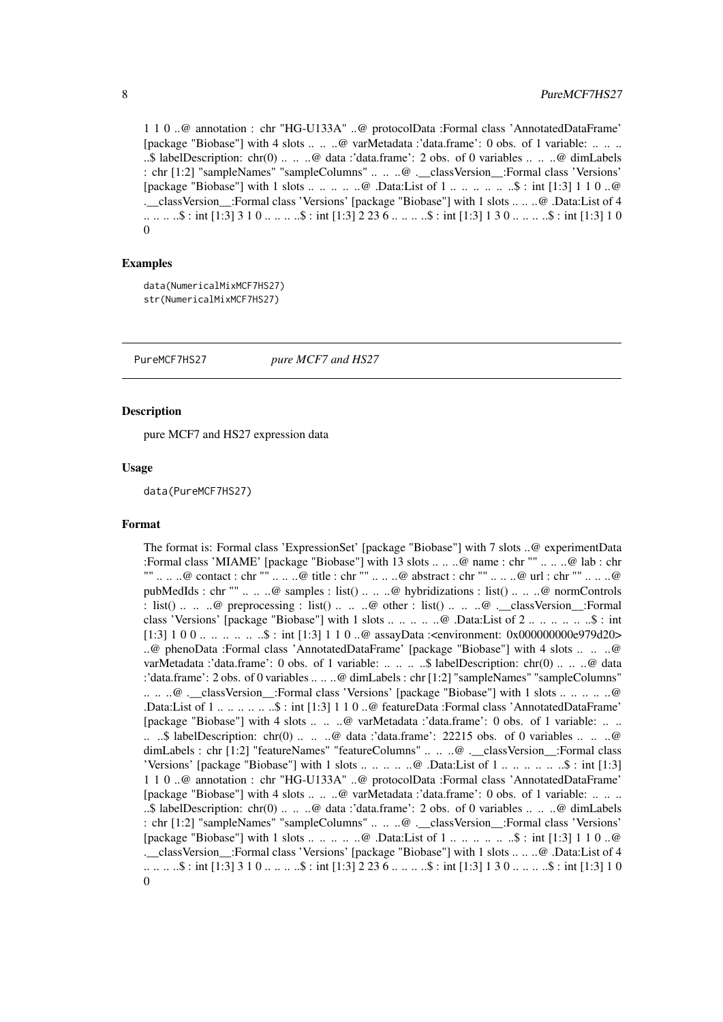<span id="page-7-0"></span>1 1 0 ..@ annotation : chr "HG-U133A" ..@ protocolData :Formal class 'AnnotatedDataFrame' [package "Biobase"] with 4 slots .. .. ..@ varMetadata :'data.frame': 0 obs. of 1 variable: .. .. .. ..\$ labelDescription: chr(0) .. .. ..@ data :'data.frame': 2 obs. of 0 variables .. .. ..@ dimLabels : chr [1:2] "sampleNames" "sampleColumns" .. .. ..@ .\_\_classVersion\_\_:Formal class 'Versions' [package "Biobase"] with 1 slots .. .. .. .. ..@ .Data:List of 1 .. .. .. .. .. ..\$ : int [1:3] 1 1 0 ..@ .\_\_classVersion\_\_:Formal class 'Versions' [package "Biobase"] with 1 slots .. .. ..@ .Data:List of 4 .. .. .. ..\$ : int [1:3] 3 1 0 .. .. .. ..\$ : int [1:3] 2 23 6 .. .. .. ..\$ : int [1:3] 1 3 0 .. .. .. ..\$ : int [1:3] 1 0  $\Omega$ 

#### Examples

```
data(NumericalMixMCF7HS27)
str(NumericalMixMCF7HS27)
```
PureMCF7HS27 *pure MCF7 and HS27*

#### **Description**

pure MCF7 and HS27 expression data

#### Usage

data(PureMCF7HS27)

#### Format

The format is: Formal class 'ExpressionSet' [package "Biobase"] with 7 slots ..@ experimentData :Formal class 'MIAME' [package "Biobase"] with 13 slots .. .. ..@ name : chr "" .. .. ..@ lab : chr "" .. .. ..@ contact : chr "" .. .. ..@ title : chr "" .. .. ..@ abstract : chr "" .. .. ..@ url : chr "" .. .. ..@ pubMedIds : chr "" .. .. ..@ samples : list() .. .. ..@ hybridizations : list() .. .. ..@ normControls : list() ... ..  $\omega$  preprocessing : list() ... ..  $\omega$  other : list() ... ..  $\omega$  . classVersion : Formal class 'Versions' [package "Biobase"] with 1 slots .. .. .. .. ..@ .Data:List of 2 .. .. .. .. .. ..\$ : int [1:3] 1 0 0 .. .. .. .. .. \$ : int [1:3] 1 1 0 ..@ assayData :<environment: 0x000000000e979d20> ..@ phenoData :Formal class 'AnnotatedDataFrame' [package "Biobase"] with 4 slots .. .. ..@ varMetadata :'data.frame': 0 obs. of 1 variable: .. .. .. ..\$ labelDescription: chr(0) .. .. ..@ data :'data.frame': 2 obs. of 0 variables .. .. ..@ dimLabels : chr [1:2] "sampleNames" "sampleColumns" .. .. ..@ .\_\_classVersion\_\_:Formal class 'Versions' [package "Biobase"] with 1 slots .. .. .. .. ..@ .Data:List of 1 .. .. .. .. .. ..\$ : int [1:3] 1 1 0 ..@ featureData :Formal class 'AnnotatedDataFrame' [package "Biobase"] with 4 slots .. .. ..@ varMetadata :'data.frame': 0 obs. of 1 variable: .. .. .. ..\$ labelDescription: chr(0) .. .. ..@ data :'data.frame': 22215 obs. of 0 variables .. .. ..@ dimLabels : chr [1:2] "featureNames" "featureColumns" .. .. ..@ .\_\_classVersion\_\_:Formal class 'Versions' [package "Biobase"] with 1 slots .. .. .. .. ..@ .Data:List of 1 .. .. .. .. .. ..\$ : int [1:3] 1 1 0 ..@ annotation : chr "HG-U133A" ..@ protocolData :Formal class 'AnnotatedDataFrame' [package "Biobase"] with 4 slots .. .. ..@ varMetadata :'data.frame': 0 obs. of 1 variable: .. .. .. ..\$ labelDescription: chr(0) .. .. ..@ data :'data.frame': 2 obs. of 0 variables .. .. ..@ dimLabels : chr [1:2] "sampleNames" "sampleColumns" .. .. ..@ .\_\_classVersion\_\_:Formal class 'Versions' [package "Biobase"] with 1 slots .. .. .. .. ..@ .Data:List of 1 .. .. .. .. .. ..\$ : int [1:3] 1 1 0 ..@ .\_\_classVersion\_\_:Formal class 'Versions' [package "Biobase"] with 1 slots .. .. ..@ .Data:List of 4 .. .. .. ..\$ : int [1:3] 3 1 0 .. .. .. ..\$ : int [1:3] 2 23 6 .. .. .. ..\$ : int [1:3] 1 3 0 .. .. .. ..\$ : int [1:3] 1 0 0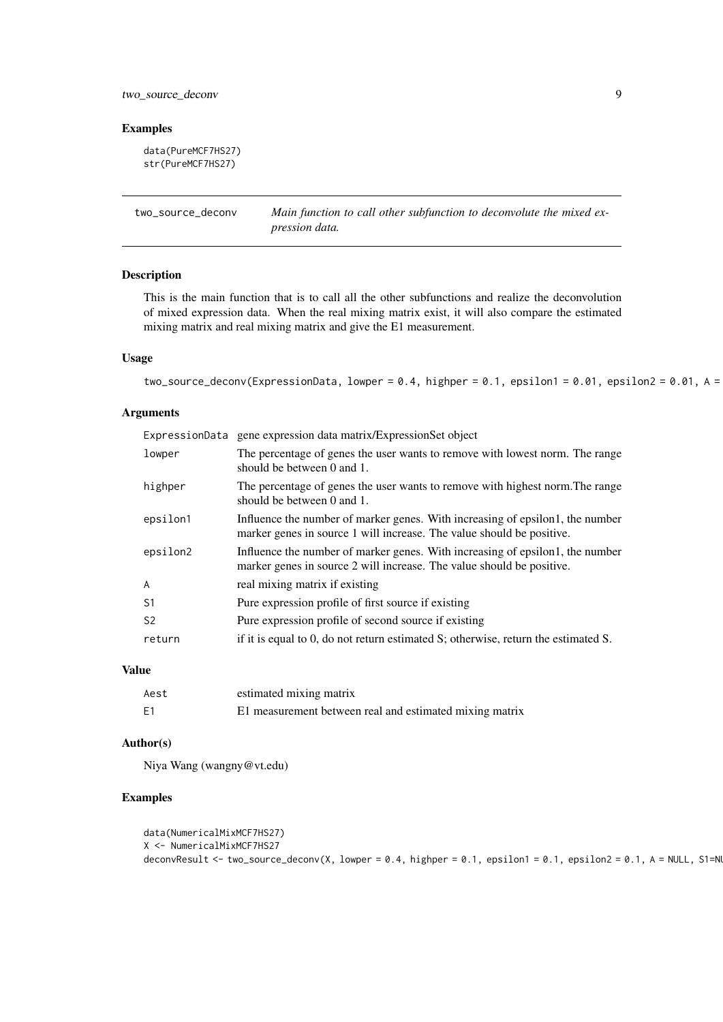#### <span id="page-8-0"></span>two\_source\_deconv 9

#### Examples

```
data(PureMCF7HS27)
str(PureMCF7HS27)
```
two\_source\_deconv *Main function to call other subfunction to deconvolute the mixed expression data.*

#### Description

This is the main function that is to call all the other subfunctions and realize the deconvolution of mixed expression data. When the real mixing matrix exist, it will also compare the estimated mixing matrix and real mixing matrix and give the E1 measurement.

#### Usage

two\_source\_deconv(ExpressionData, lowper = 0.4, highper = 0.1, epsilon1 = 0.01, epsilon2 = 0.01, A =

#### Arguments

| ExpressionData | gene expression data matrix/ExpressionSet object                                                                                                       |
|----------------|--------------------------------------------------------------------------------------------------------------------------------------------------------|
| lowper         | The percentage of genes the user wants to remove with lowest norm. The range<br>should be between 0 and 1.                                             |
| highper        | The percentage of genes the user wants to remove with highest norm. The range<br>should be between 0 and 1.                                            |
| epsilon1       | Influence the number of marker genes. With increasing of epsilon1, the number<br>marker genes in source 1 will increase. The value should be positive. |
| epsilon2       | Influence the number of marker genes. With increasing of epsilon1, the number<br>marker genes in source 2 will increase. The value should be positive. |
| $\overline{A}$ | real mixing matrix if existing                                                                                                                         |
| S <sub>1</sub> | Pure expression profile of first source if existing                                                                                                    |
| S <sub>2</sub> | Pure expression profile of second source if existing                                                                                                   |
| return         | if it is equal to 0, do not return estimated S; otherwise, return the estimated S.                                                                     |

#### Value

| Aest | estimated mixing matrix                                 |
|------|---------------------------------------------------------|
| E1   | E1 measurement between real and estimated mixing matrix |

#### Author(s)

Niya Wang (wangny@vt.edu)

#### Examples

```
data(NumericalMixMCF7HS27)
X <- NumericalMixMCF7HS27
deconvResult <- two_source_deconv(X, lowper = 0.4, highper = 0.1, epsilon1 = 0.1, epsilon2 = 0.1, A = NULL, S1=N
```